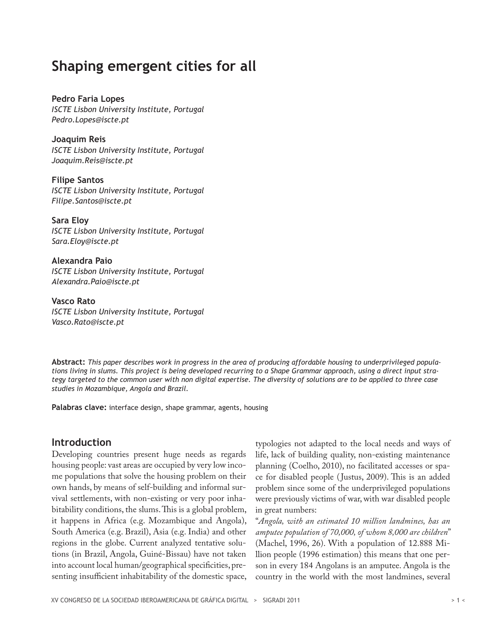# **Shaping emergent cities for all**

**Pedro Faria Lopes** *ISCTE Lisbon University Institute, Portugal Pedro.Lopes@iscte.pt*

**Joaquim Reis** *ISCTE Lisbon University Institute, Portugal Joaquim.Reis@iscte.pt*

**Filipe Santos** *ISCTE Lisbon University Institute, Portugal Filipe.Santos@iscte.pt*

**Sara Eloy** *ISCTE Lisbon University Institute, Portugal Sara.Eloy@iscte.pt*

**Alexandra Paio** *ISCTE Lisbon University Institute, Portugal Alexandra.Paio@iscte.pt*

**Vasco Rato** *ISCTE Lisbon University Institute, Portugal Vasco.Rato@iscte.pt*

**Abstract:** *This paper describes work in progress in the area of producing affordable housing to underprivileged populations living in slums. This project is being developed recurring to a Shape Grammar approach, using a direct input strategy targeted to the common user with non digital expertise. The diversity of solutions are to be applied to three case studies in Mozambique, Angola and Brazil.*

**Palabras clave:** interface design, shape grammar, agents, housing

## **Introduction**

Developing countries present huge needs as regards housing people: vast areas are occupied by very low income populations that solve the housing problem on their own hands, by means of self-building and informal survival settlements, with non-existing or very poor inhabitability conditions, the slums. This is a global problem, it happens in Africa (e.g. Mozambique and Angola), South America (e.g. Brazil), Asia (e.g. India) and other regions in the globe. Current analyzed tentative solutions (in Brazil, Angola, Guiné-Bissau) have not taken into account local human/geographical specificities, presenting insufficient inhabitability of the domestic space,

typologies not adapted to the local needs and ways of life, lack of building quality, non-existing maintenance planning (Coelho, 2010), no facilitated accesses or space for disabled people ( Justus, 2009). This is an added problem since some of the underprivileged populations were previously victims of war, with war disabled people in great numbers:

"*Angola, with an estimated 10 million landmines, has an amputee population of 70,000, of whom 8,000 are children*" (Machel, 1996, 26). With a population of 12.888 Million people (1996 estimation) this means that one person in every 184 Angolans is an amputee. Angola is the country in the world with the most landmines, several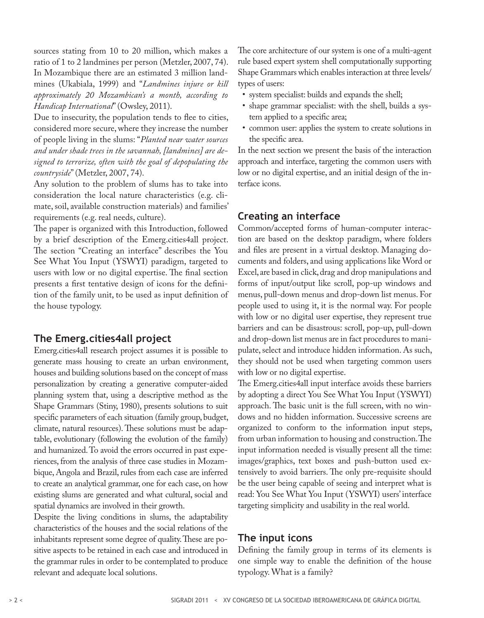sources stating from 10 to 20 million, which makes a ratio of 1 to 2 landmines per person (Metzler, 2007, 74). In Mozambique there are an estimated 3 million landmines (Ukabiala, 1999) and "*Landmines injure or kill approximately 20 Mozambican's a month, according to Handicap International*" (Owsley, 2011).

Due to insecurity, the population tends to flee to cities, considered more secure, where they increase the number of people living in the slums: "*Planted near water sources and under shade trees in the savannah, [landmines] are designed to terrorize, often with the goal of depopulating the countryside*" (Metzler, 2007, 74).

Any solution to the problem of slums has to take into consideration the local nature characteristics (e.g. climate, soil, available construction materials) and families' requirements (e.g. real needs, culture).

The paper is organized with this Introduction, followed by a brief description of the Emerg.cities4all project. The section "Creating an interface" describes the You See What You Input (YSWYI) paradigm, targeted to users with low or no digital expertise. The final section presents a first tentative design of icons for the definition of the family unit, to be used as input definition of the house typology.

### **The Emerg.cities4all project**

Emerg.cities4all research project assumes it is possible to generate mass housing to create an urban environment, houses and building solutions based on the concept of mass personalization by creating a generative computer-aided planning system that, using a descriptive method as the Shape Grammars (Stiny, 1980), presents solutions to suit specific parameters of each situation (family group, budget, climate, natural resources). These solutions must be adaptable, evolutionary (following the evolution of the family) and humanized. To avoid the errors occurred in past experiences, from the analysis of three case studies in Mozambique, Angola and Brazil, rules from each case are inferred to create an analytical grammar, one for each case, on how existing slums are generated and what cultural, social and spatial dynamics are involved in their growth.

Despite the living conditions in slums, the adaptability characteristics of the houses and the social relations of the inhabitants represent some degree of quality. These are positive aspects to be retained in each case and introduced in the grammar rules in order to be contemplated to produce relevant and adequate local solutions.

The core architecture of our system is one of a multi-agent rule based expert system shell computationally supporting Shape Grammars which enables interaction at three levels/ types of users:

- • system specialist: builds and expands the shell;
- • shape grammar specialist: with the shell, builds a system applied to a specific area;
- • common user: applies the system to create solutions in the specific area.

In the next section we present the basis of the interaction approach and interface, targeting the common users with low or no digital expertise, and an initial design of the interface icons.

### **Creating an interface**

Common/accepted forms of human-computer interaction are based on the desktop paradigm, where folders and files are present in a virtual desktop. Managing documents and folders, and using applications like Word or Excel, are based in click, drag and drop manipulations and forms of input/output like scroll, pop-up windows and menus, pull-down menus and drop-down list menus. For people used to using it, it is the normal way. For people with low or no digital user expertise, they represent true barriers and can be disastrous: scroll, pop-up, pull-down and drop-down list menus are in fact procedures to manipulate, select and introduce hidden information. As such, they should not be used when targeting common users with low or no digital expertise.

The Emerg.cities4all input interface avoids these barriers by adopting a direct You See What You Input (YSWYI) approach. The basic unit is the full screen, with no windows and no hidden information. Successive screens are organized to conform to the information input steps, from urban information to housing and construction. The input information needed is visually present all the time: images/graphics, text boxes and push-button used extensively to avoid barriers. The only pre-requisite should be the user being capable of seeing and interpret what is read: You See What You Input (YSWYI) users' interface targeting simplicity and usability in the real world.

### **The input icons**

Defining the family group in terms of its elements is one simple way to enable the definition of the house typology. What is a family?